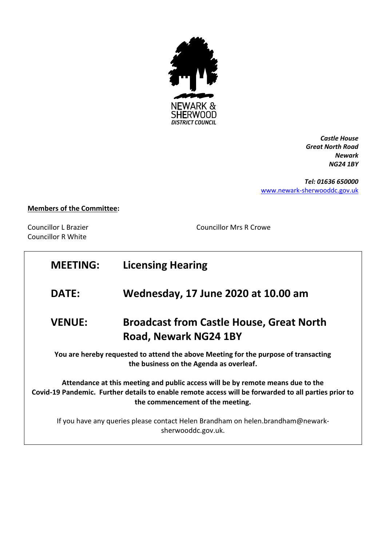

*Castle House Great North Road Newark NG24 1BY*

*Tel: 01636 650000* [www.newark-sherwooddc.gov.uk](http://www.newark-sherwooddc.gov.uk/)

## **Members of the Committee:**

Councillor R White

Councillor L Brazier Councillor Mrs R Crowe

| <b>MEETING:</b>                                                                                                                                                                                                             | <b>Licensing Hearing</b>                                                 |
|-----------------------------------------------------------------------------------------------------------------------------------------------------------------------------------------------------------------------------|--------------------------------------------------------------------------|
| <b>DATE:</b>                                                                                                                                                                                                                | Wednesday, 17 June 2020 at 10.00 am                                      |
| <b>VENUE:</b>                                                                                                                                                                                                               | <b>Broadcast from Castle House, Great North</b><br>Road, Newark NG24 1BY |
| You are hereby requested to attend the above Meeting for the purpose of transacting<br>the business on the Agenda as overleaf.                                                                                              |                                                                          |
| Attendance at this meeting and public access will be by remote means due to the<br>Covid-19 Pandemic. Further details to enable remote access will be forwarded to all parties prior to<br>the commencement of the meeting. |                                                                          |
| If you have any queries please contact Helen Brandham on helen.brandham@newark-<br>sherwooddc.gov.uk.                                                                                                                       |                                                                          |